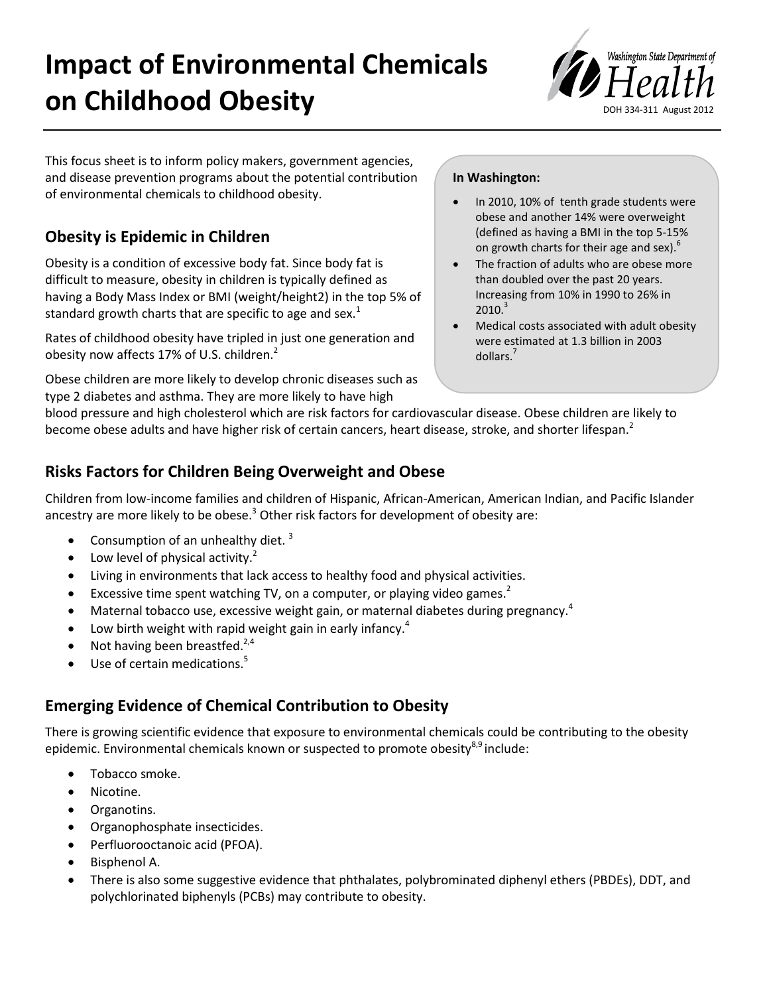# **Impact of Environmental Chemicals on Childhood Obesity**



This focus sheet is to inform policy makers, government agencies, and disease prevention programs about the potential contribution of environmental chemicals to childhood obesity.

# **Obesity is Epidemic in Children**

Obesity is a condition of excessive body fat. Since body fat is difficult to measure, obesity in children is typically defined as having a Body Mass Index or BMI (weight/height2) in the top 5% of standard growth charts that are specific to age and sex.<sup>1</sup>

Rates of childhood obesity have tripled in just one generation and obesity now affects 17% of U.S. children. $<sup>2</sup>$ </sup>

Obese children are more likely to develop chronic diseases such as type 2 diabetes and asthma. They are more likely to have high

#### **In Washington:**

- In 2010, 10% of tenth grade students were obese and another 14% were overweight (defined as having a BMI in the top 5-15% on growth charts for their age and sex).<sup>6</sup>
- The fraction of adults who are obese more than doubled over the past 20 years. Increasing from 10% in 1990 to 26% in  $2010.<sup>3</sup>$
- Medical costs associated with adult obesity were estimated at 1.3 billion in 2003 dollars.<sup>7</sup>

blood pressure and high cholesterol which are risk factors for cardiovascular disease. Obese children are likely to become obese adults and have higher risk of certain cancers, heart disease, stroke, and shorter lifespan.<sup>2</sup>

## **Risks Factors for Children Being Overweight and Obese**

Children from low-income families and children of Hispanic, African-American, American Indian, and Pacific Islander ancestry are more likely to be obese.<sup>3</sup> Other risk factors for development of obesity are:

- Consumption of an unhealthy diet.  $3$
- Low level of physical activity. $^2$
- Living in environments that lack access to healthy food and physical activities.
- Excessive time spent watching TV, on a computer, or playing video games.<sup>2</sup>
- Maternal tobacco use, excessive weight gain, or maternal diabetes during pregnancy.<sup>4</sup>
- Low birth weight with rapid weight gain in early infancy. $4$
- Not having been breastfed. $2,4$
- Use of certain medications.<sup>5</sup>

## **Emerging Evidence of Chemical Contribution to Obesity**

There is growing scientific evidence that exposure to environmental chemicals could be contributing to the obesity epidemic. Environmental chemicals known or suspected to promote obesity<sup>8,9</sup> include:

- Tobacco smoke.
- Nicotine.
- Organotins.
- Organophosphate insecticides.
- Perfluorooctanoic acid (PFOA).
- Bisphenol A.
- There is also some suggestive evidence that phthalates, polybrominated diphenyl ethers (PBDEs), DDT, and polychlorinated biphenyls (PCBs) may contribute to obesity.